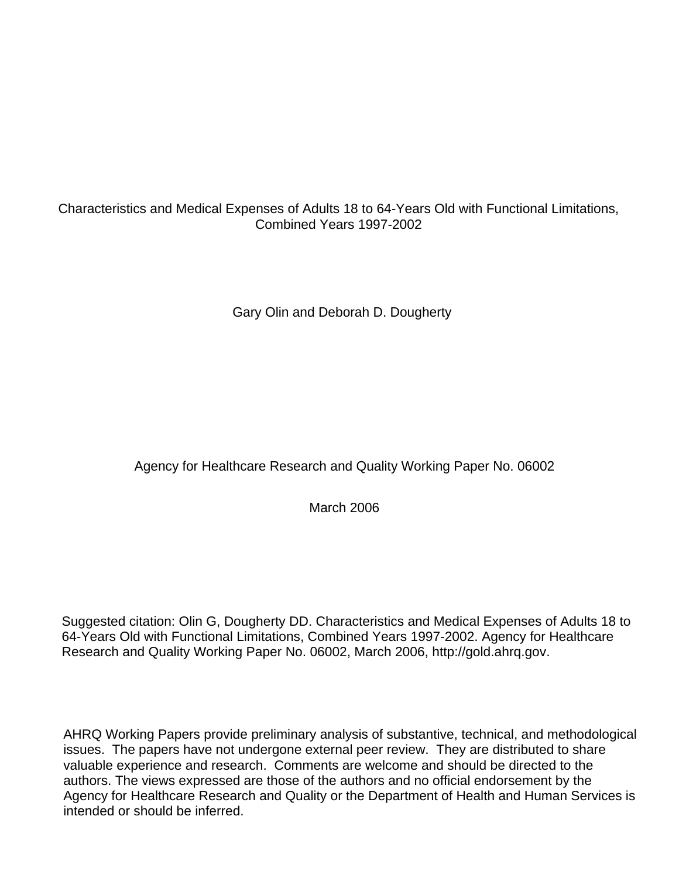# Characteristics and Medical Expenses of Adults 18 to 64-Years Old with Functional Limitations, Combined Years 1997-2002

Gary Olin and Deborah D. Dougherty

# Agency for Healthcare Research and Quality Working Paper No. 06002

March 2006

Suggested citation: Olin G, Dougherty DD. Characteristics and Medical Expenses of Adults 18 to 64-Years Old with Functional Limitations, Combined Years 1997-2002. Agency for Healthcare Research and Quality Working Paper No. 06002, March 2006[, http://gold.ahrq.gov.](http://www.ahrq.gov)

AHRQ Working Papers provide preliminary analysis of substantive, technical, and methodological issues. The papers have not undergone external peer review. They are distributed to share valuable experience and research. Comments are welcome and should be directed to the authors. The views expressed are those of the authors and no official endorsement by the Agency for Healthcare Research and Quality or the Department of Health and Human Services is intended or should be inferred.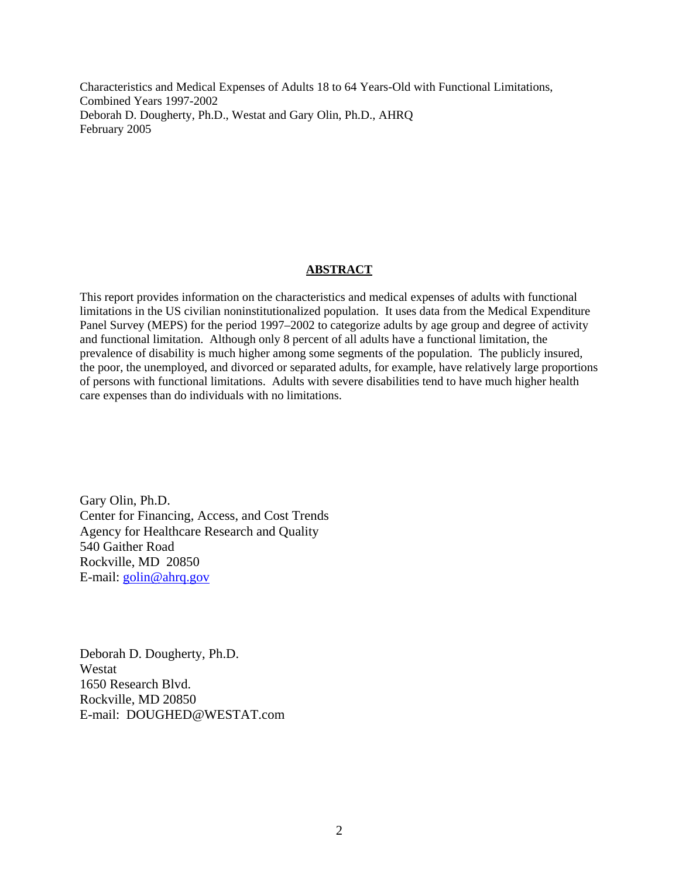Characteristics and Medical Expenses of Adults 18 to 64 Years-Old with Functional Limitations, Combined Years 1997-2002 Deborah D. Dougherty, Ph.D., Westat and Gary Olin, Ph.D., AHRQ February 2005

### **ABSTRACT**

This report provides information on the characteristics and medical expenses of adults with functional limitations in the US civilian noninstitutionalized population. It uses data from the Medical Expenditure Panel Survey (MEPS) for the period 1997–2002 to categorize adults by age group and degree of activity and functional limitation. Although only 8 percent of all adults have a functional limitation, the prevalence of disability is much higher among some segments of the population. The publicly insured, the poor, the unemployed, and divorced or separated adults, for example, have relatively large proportions of persons with functional limitations. Adults with severe disabilities tend to have much higher health care expenses than do individuals with no limitations.

Gary Olin, Ph.D. Center for Financing, Access, and Cost Trends Agency for Healthcare Research and Quality 540 Gaither Road Rockville, MD 20850 E-mail: golin@ahrq.gov

Deborah D. Dougherty, Ph.D. Westat 1650 Research Blvd. Rockville, MD 20850 E-mail: DOUGHED@WESTAT.com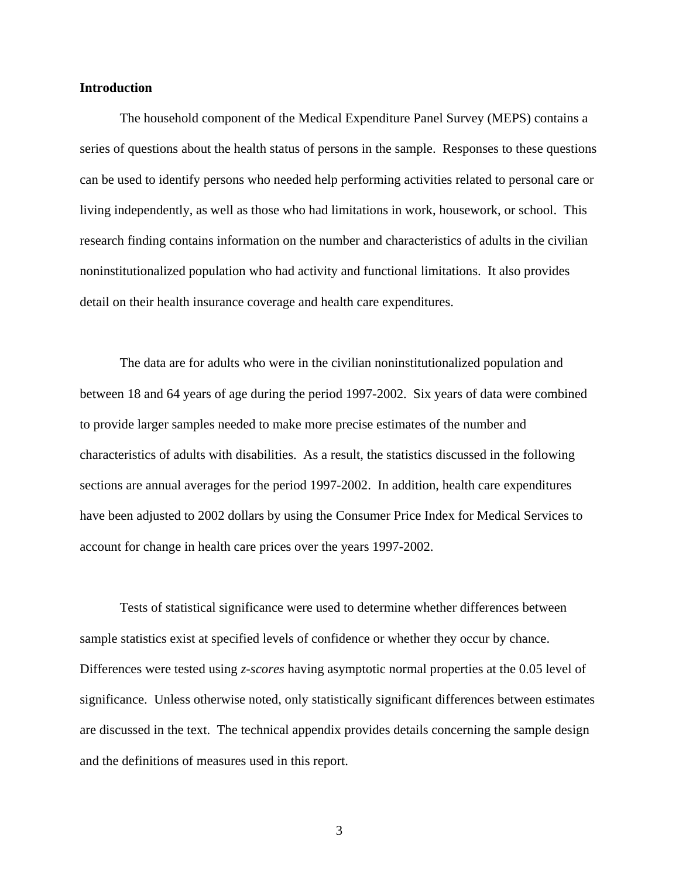## **Introduction**

The household component of the Medical Expenditure Panel Survey (MEPS) contains a series of questions about the health status of persons in the sample. Responses to these questions can be used to identify persons who needed help performing activities related to personal care or living independently, as well as those who had limitations in work, housework, or school. This research finding contains information on the number and characteristics of adults in the civilian noninstitutionalized population who had activity and functional limitations. It also provides detail on their health insurance coverage and health care expenditures.

The data are for adults who were in the civilian noninstitutionalized population and between 18 and 64 years of age during the period 1997-2002. Six years of data were combined to provide larger samples needed to make more precise estimates of the number and characteristics of adults with disabilities. As a result, the statistics discussed in the following sections are annual averages for the period 1997-2002. In addition, health care expenditures have been adjusted to 2002 dollars by using the Consumer Price Index for Medical Services to account for change in health care prices over the years 1997-2002.

Tests of statistical significance were used to determine whether differences between sample statistics exist at specified levels of confidence or whether they occur by chance. Differences were tested using *z-scores* having asymptotic normal properties at the 0.05 level of significance. Unless otherwise noted, only statistically significant differences between estimates are discussed in the text. The technical appendix provides details concerning the sample design and the definitions of measures used in this report.

3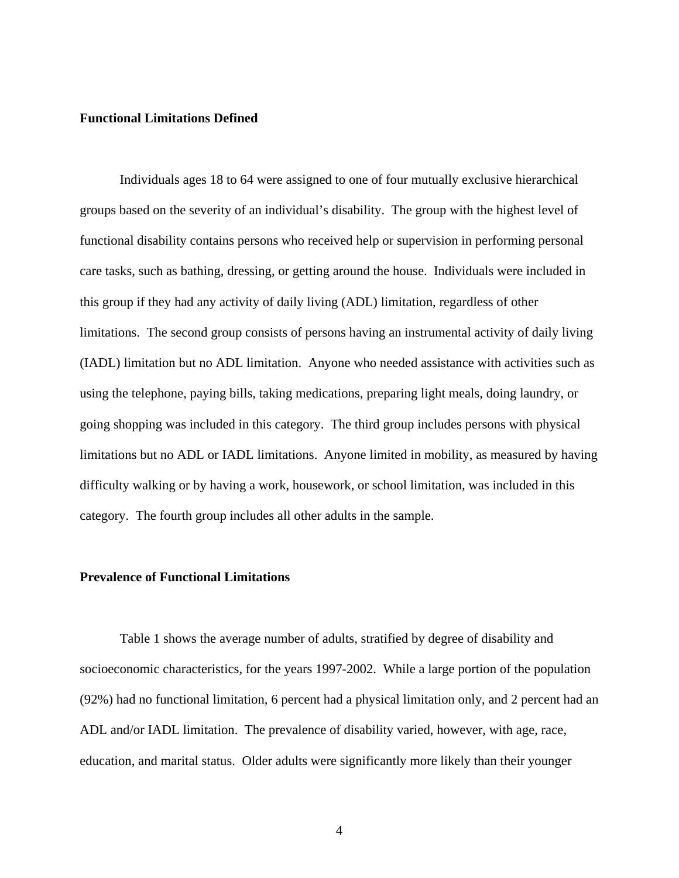## **Functional Limitations Defined**

Individuals ages 18 to 64 were assigned to one of four mutually exclusive hierarchical groups based on the severity of an individual's disability. The group with the highest level of functional disability contains persons who received help or supervision in performing personal care tasks, such as bathing, dressing, or getting around the house. Individuals were included in this group if they had any activity of daily living (ADL) limitation, regardless of other limitations. The second group consists of persons having an instrumental activity of daily living (IADL) limitation but no ADL limitation. Anyone who needed assistance with activities such as using the telephone, paying bills, taking medications, preparing light meals, doing laundry, or going shopping was included in this category. The third group includes persons with physical limitations but no ADL or IADL limitations. Anyone limited in mobility, as measured by having difficulty walking or by having a work, housework, or school limitation, was included in this category. The fourth group includes all other adults in the sample.

#### **Prevalence of Functional Limitations**

Table 1 shows the average number of adults, stratified by degree of disability and socioeconomic characteristics, for the years 1997-2002. While a large portion of the population (92%) had no functional limitation, 6 percent had a physical limitation only, and 2 percent had an ADL and/or IADL limitation. The prevalence of disability varied, however, with age, race, education, and marital status. Older adults were significantly more likely than their younger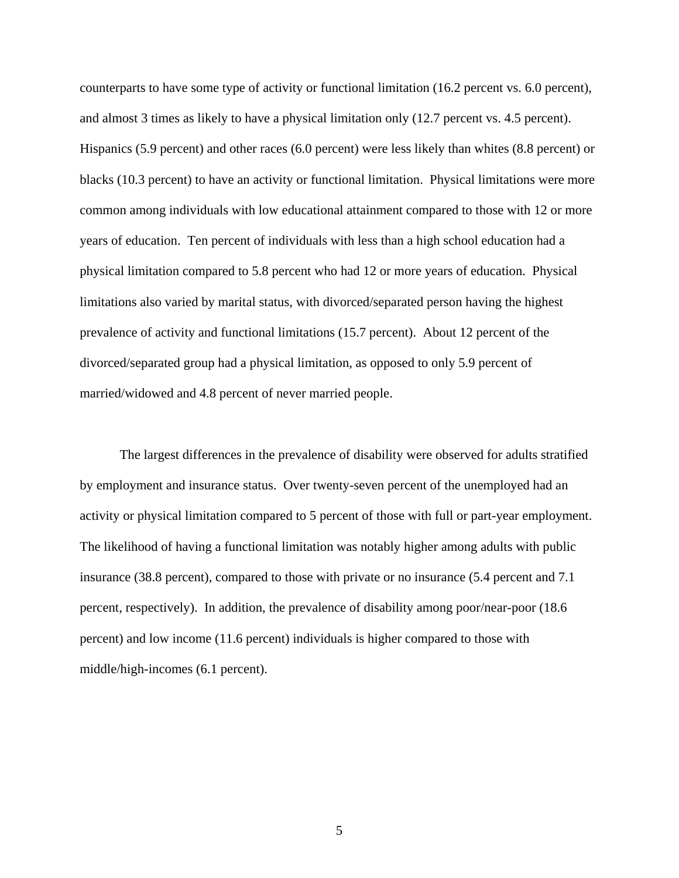counterparts to have some type of activity or functional limitation (16.2 percent vs. 6.0 percent), and almost 3 times as likely to have a physical limitation only (12.7 percent vs. 4.5 percent). Hispanics (5.9 percent) and other races (6.0 percent) were less likely than whites (8.8 percent) or blacks (10.3 percent) to have an activity or functional limitation. Physical limitations were more common among individuals with low educational attainment compared to those with 12 or more years of education. Ten percent of individuals with less than a high school education had a physical limitation compared to 5.8 percent who had 12 or more years of education. Physical limitations also varied by marital status, with divorced/separated person having the highest prevalence of activity and functional limitations (15.7 percent). About 12 percent of the divorced/separated group had a physical limitation, as opposed to only 5.9 percent of married/widowed and 4.8 percent of never married people.

The largest differences in the prevalence of disability were observed for adults stratified by employment and insurance status. Over twenty-seven percent of the unemployed had an activity or physical limitation compared to 5 percent of those with full or part-year employment. The likelihood of having a functional limitation was notably higher among adults with public insurance (38.8 percent), compared to those with private or no insurance (5.4 percent and 7.1 percent, respectively). In addition, the prevalence of disability among poor/near-poor (18.6 percent) and low income (11.6 percent) individuals is higher compared to those with middle/high-incomes (6.1 percent).

5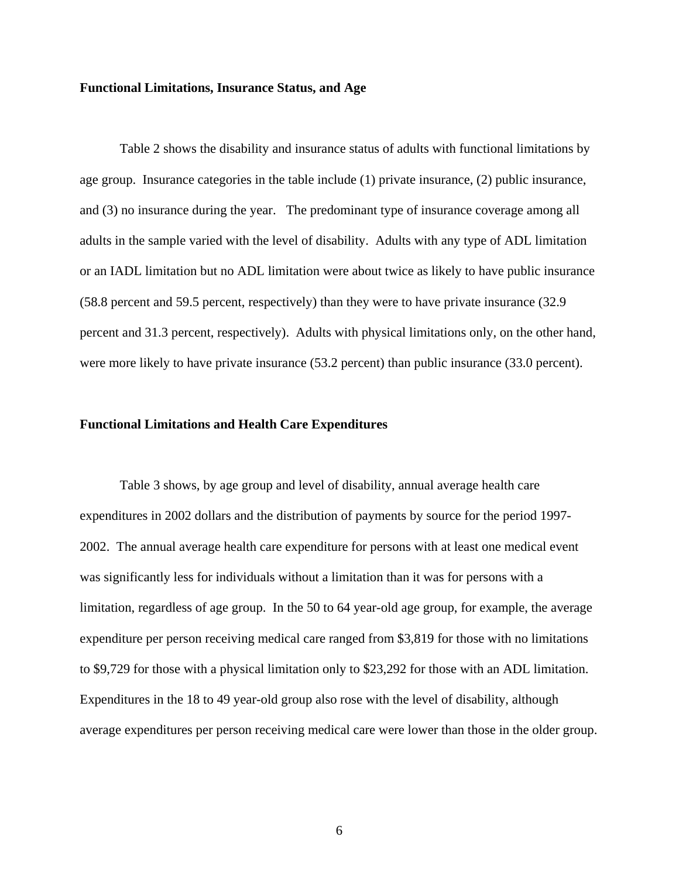## **Functional Limitations, Insurance Status, and Age**

Table 2 shows the disability and insurance status of adults with functional limitations by age group. Insurance categories in the table include (1) private insurance, (2) public insurance, and (3) no insurance during the year. The predominant type of insurance coverage among all adults in the sample varied with the level of disability. Adults with any type of ADL limitation or an IADL limitation but no ADL limitation were about twice as likely to have public insurance (58.8 percent and 59.5 percent, respectively) than they were to have private insurance (32.9 percent and 31.3 percent, respectively). Adults with physical limitations only, on the other hand, were more likely to have private insurance (53.2 percent) than public insurance (33.0 percent).

### **Functional Limitations and Health Care Expenditures**

Table 3 shows, by age group and level of disability, annual average health care expenditures in 2002 dollars and the distribution of payments by source for the period 1997- 2002. The annual average health care expenditure for persons with at least one medical event was significantly less for individuals without a limitation than it was for persons with a limitation, regardless of age group. In the 50 to 64 year-old age group, for example, the average expenditure per person receiving medical care ranged from \$3,819 for those with no limitations to \$9,729 for those with a physical limitation only to \$23,292 for those with an ADL limitation. Expenditures in the 18 to 49 year-old group also rose with the level of disability, although average expenditures per person receiving medical care were lower than those in the older group.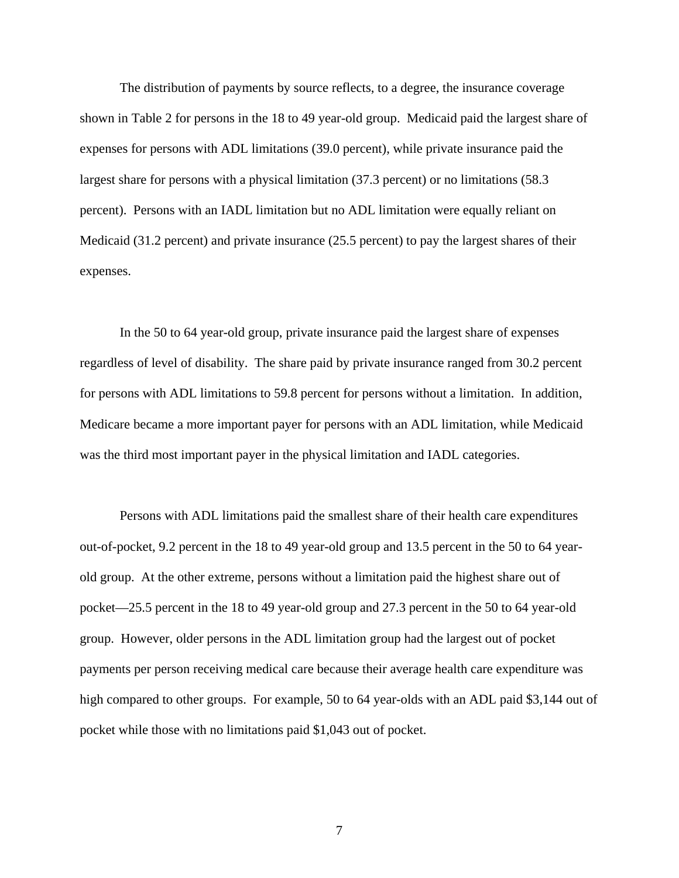The distribution of payments by source reflects, to a degree, the insurance coverage shown in Table 2 for persons in the 18 to 49 year-old group. Medicaid paid the largest share of expenses for persons with ADL limitations (39.0 percent), while private insurance paid the largest share for persons with a physical limitation (37.3 percent) or no limitations (58.3 percent). Persons with an IADL limitation but no ADL limitation were equally reliant on Medicaid (31.2 percent) and private insurance (25.5 percent) to pay the largest shares of their expenses.

In the 50 to 64 year-old group, private insurance paid the largest share of expenses regardless of level of disability. The share paid by private insurance ranged from 30.2 percent for persons with ADL limitations to 59.8 percent for persons without a limitation. In addition, Medicare became a more important payer for persons with an ADL limitation, while Medicaid was the third most important payer in the physical limitation and IADL categories.

Persons with ADL limitations paid the smallest share of their health care expenditures out-of-pocket, 9.2 percent in the 18 to 49 year-old group and 13.5 percent in the 50 to 64 yearold group. At the other extreme, persons without a limitation paid the highest share out of pocket—25.5 percent in the 18 to 49 year-old group and 27.3 percent in the 50 to 64 year-old group. However, older persons in the ADL limitation group had the largest out of pocket payments per person receiving medical care because their average health care expenditure was high compared to other groups. For example, 50 to 64 year-olds with an ADL paid \$3,144 out of pocket while those with no limitations paid \$1,043 out of pocket.

7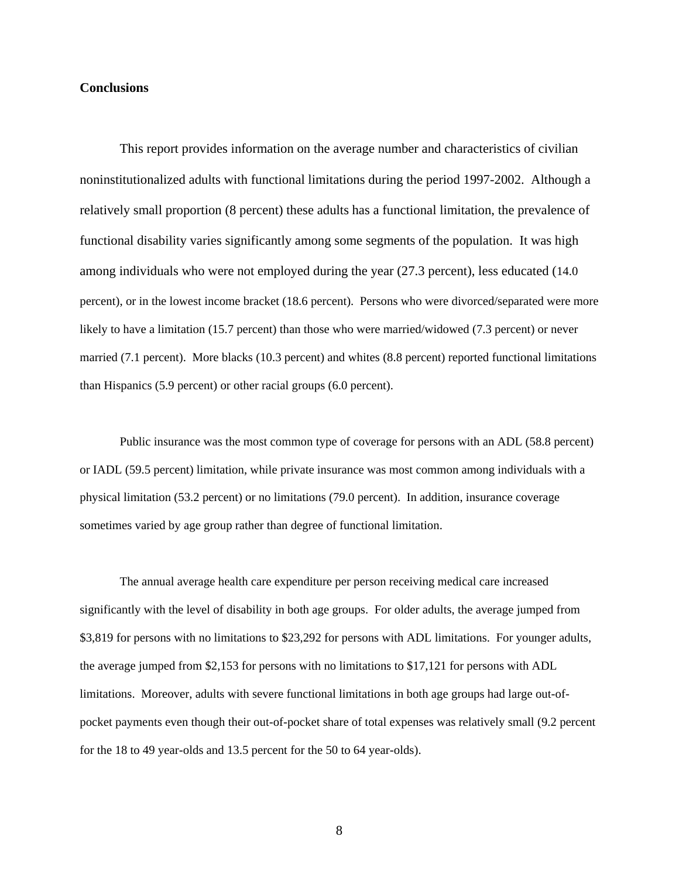## **Conclusions**

This report provides information on the average number and characteristics of civilian noninstitutionalized adults with functional limitations during the period 1997-2002. Although a relatively small proportion (8 percent) these adults has a functional limitation, the prevalence of functional disability varies significantly among some segments of the population. It was high among individuals who were not employed during the year (27.3 percent), less educated (14.0 percent), or in the lowest income bracket (18.6 percent). Persons who were divorced/separated were more likely to have a limitation (15.7 percent) than those who were married/widowed (7.3 percent) or never married (7.1 percent). More blacks (10.3 percent) and whites (8.8 percent) reported functional limitations than Hispanics (5.9 percent) or other racial groups (6.0 percent).

Public insurance was the most common type of coverage for persons with an ADL (58.8 percent) or IADL (59.5 percent) limitation, while private insurance was most common among individuals with a physical limitation (53.2 percent) or no limitations (79.0 percent). In addition, insurance coverage sometimes varied by age group rather than degree of functional limitation.

The annual average health care expenditure per person receiving medical care increased significantly with the level of disability in both age groups. For older adults, the average jumped from \$3,819 for persons with no limitations to \$23,292 for persons with ADL limitations. For younger adults, the average jumped from \$2,153 for persons with no limitations to \$17,121 for persons with ADL limitations. Moreover, adults with severe functional limitations in both age groups had large out-ofpocket payments even though their out-of-pocket share of total expenses was relatively small (9.2 percent for the 18 to 49 year-olds and 13.5 percent for the 50 to 64 year-olds).

8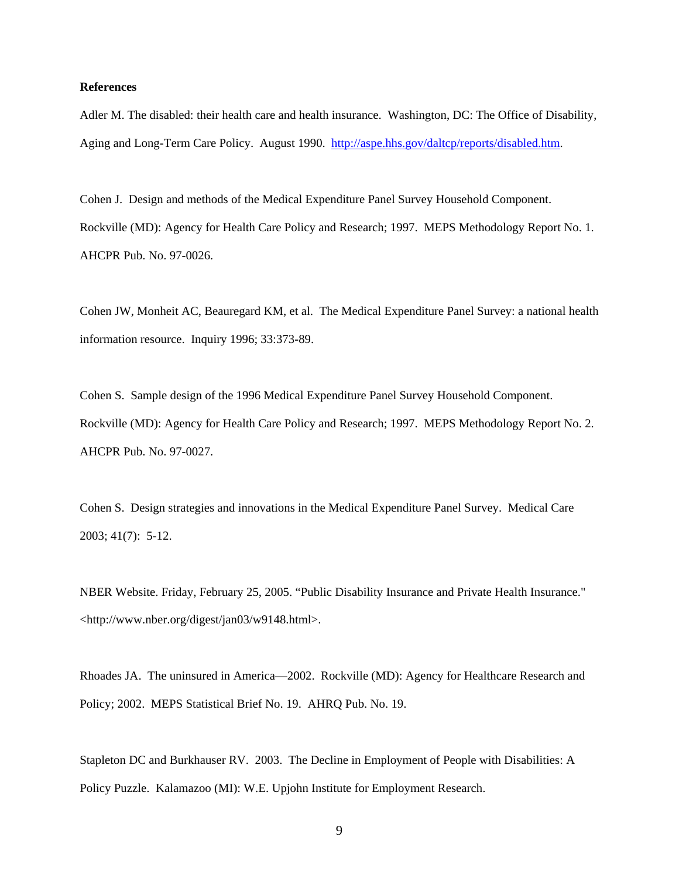## **References**

Adler M. The disabled: their health care and health insurance. Washington, DC: The Office of Disability, Aging and Long-Term Care Policy. August 1990. http://aspe.hhs.gov/daltcp/reports/disabled.htm.

Cohen J. Design and methods of the Medical Expenditure Panel Survey Household Component. Rockville (MD): Agency for Health Care Policy and Research; 1997. MEPS Methodology Report No. 1. AHCPR Pub. No. 97-0026.

Cohen JW, Monheit AC, Beauregard KM, et al. The Medical Expenditure Panel Survey: a national health information resource. Inquiry 1996; 33:373-89.

Cohen S. Sample design of the 1996 Medical Expenditure Panel Survey Household Component. Rockville (MD): Agency for Health Care Policy and Research; 1997. MEPS Methodology Report No. 2. AHCPR Pub. No. 97-0027.

Cohen S. Design strategies and innovations in the Medical Expenditure Panel Survey. Medical Care 2003; 41(7): 5-12.

NBER Website. Friday, February 25, 2005. "Public Disability Insurance and Private Health Insurance." <http://www.nber.org/digest/jan03/w9148.html>.

Rhoades JA. The uninsured in America—2002. Rockville (MD): Agency for Healthcare Research and Policy; 2002. MEPS Statistical Brief No. 19. AHRQ Pub. No. 19.

Stapleton DC and Burkhauser RV. 2003. The Decline in Employment of People with Disabilities: A Policy Puzzle. Kalamazoo (MI): W.E. Upjohn Institute for Employment Research.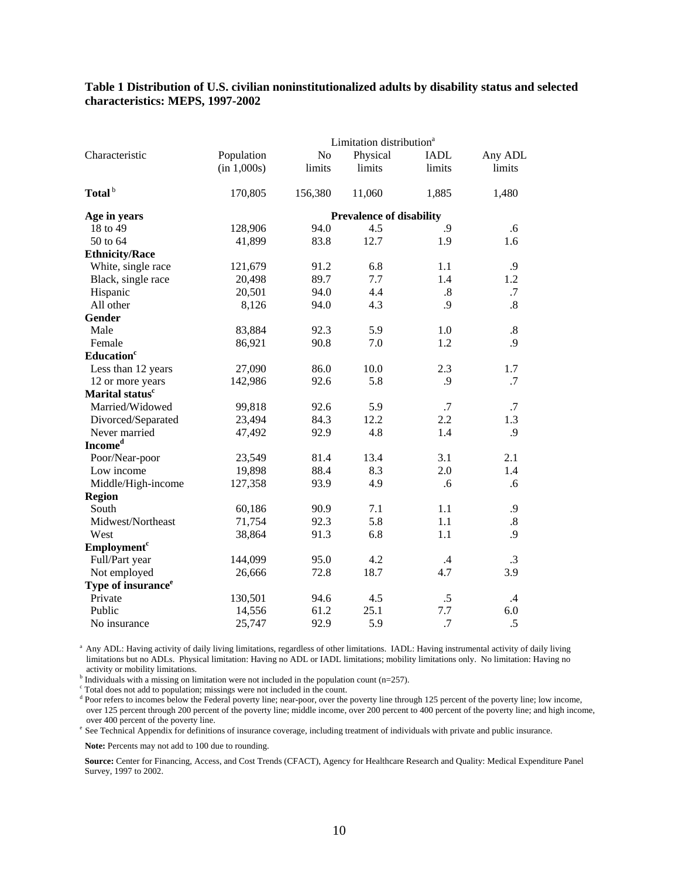#### **Table 1 Distribution of U.S. civilian noninstitutionalized adults by disability status and selected characteristics: MEPS, 1997-2002**

|                                | Limitation distribution <sup>a</sup> |         |                                 |             |                   |  |  |  |
|--------------------------------|--------------------------------------|---------|---------------------------------|-------------|-------------------|--|--|--|
| Characteristic                 | Population                           | No      | Physical                        | <b>IADL</b> | Any ADL           |  |  |  |
|                                | (in 1,000s)                          | limits  | limits                          | limits      | limits            |  |  |  |
| Total <sup>b</sup>             | 170,805                              | 156,380 | 11,060                          | 1,885       | 1,480             |  |  |  |
| Age in years                   |                                      |         | <b>Prevalence of disability</b> |             |                   |  |  |  |
| 18 to 49                       | 128,906                              | 94.0    | 4.5                             | .9          | .6                |  |  |  |
| 50 to 64                       | 41,899                               | 83.8    | 12.7                            | 1.9         | 1.6               |  |  |  |
| <b>Ethnicity/Race</b>          |                                      |         |                                 |             |                   |  |  |  |
| White, single race             | 121,679                              | 91.2    | 6.8                             | 1.1         | .9                |  |  |  |
| Black, single race             | 20,498                               | 89.7    | 7.7                             | 1.4         | 1.2               |  |  |  |
| Hispanic                       | 20,501                               | 94.0    | 4.4                             | .8          | .7                |  |  |  |
| All other                      | 8,126                                | 94.0    | 4.3                             | .9          | .8                |  |  |  |
| Gender                         |                                      |         |                                 |             |                   |  |  |  |
| Male                           | 83,884                               | 92.3    | 5.9                             | 1.0         | $\boldsymbol{.8}$ |  |  |  |
| Female                         | 86,921                               | 90.8    | 7.0                             | 1.2         | .9                |  |  |  |
| Education <sup>c</sup>         |                                      |         |                                 |             |                   |  |  |  |
| Less than 12 years             | 27,090                               | 86.0    | 10.0                            | 2.3         | 1.7               |  |  |  |
| 12 or more years               | 142,986                              | 92.6    | 5.8                             | .9          | .7                |  |  |  |
| Marital status <sup>c</sup>    |                                      |         |                                 |             |                   |  |  |  |
| Married/Widowed                | 99,818                               | 92.6    | 5.9                             | .7          | .7                |  |  |  |
| Divorced/Separated             | 23,494                               | 84.3    | 12.2                            | 2.2         | 1.3               |  |  |  |
| Never married                  | 47,492                               | 92.9    | 4.8                             | 1.4         | .9                |  |  |  |
| <b>Incomed</b>                 |                                      |         |                                 |             |                   |  |  |  |
| Poor/Near-poor                 | 23,549                               | 81.4    | 13.4                            | 3.1         | 2.1               |  |  |  |
| Low income                     | 19,898                               | 88.4    | 8.3                             | 2.0         | 1.4               |  |  |  |
| Middle/High-income             | 127,358                              | 93.9    | 4.9                             | .6          | .6                |  |  |  |
| <b>Region</b>                  |                                      |         |                                 |             |                   |  |  |  |
| South                          | 60,186                               | 90.9    | 7.1                             | 1.1         | .9                |  |  |  |
| Midwest/Northeast              | 71,754                               | 92.3    | 5.8                             | 1.1         | $.8\,$            |  |  |  |
| West                           | 38,864                               | 91.3    | 6.8                             | 1.1         | .9                |  |  |  |
| Employment <sup>c</sup>        |                                      |         |                                 |             |                   |  |  |  |
| Full/Part year                 | 144,099                              | 95.0    | 4.2                             | $\cdot$ 4   | $\cdot$ 3         |  |  |  |
| Not employed                   | 26,666                               | 72.8    | 18.7                            | 4.7         | 3.9               |  |  |  |
| Type of insurance <sup>e</sup> |                                      |         |                                 |             |                   |  |  |  |
| Private                        | 130,501                              | 94.6    | 4.5                             | $.5\,$      | .4                |  |  |  |
| Public                         | 14,556                               | 61.2    | 25.1                            | 7.7         | 6.0               |  |  |  |
| No insurance                   | 25,747                               | 92.9    | 5.9                             | .7          | .5                |  |  |  |

 limitations but no ADLs. Physical limitation: Having no ADL or IADL limitations; mobility limitations only. No limitation: Having no <sup>a</sup> Any ADL: Having activity of daily living limitations, regardless of other limitations. IADL: Having instrumental activity of daily living

activity or mobility limitations.<br><sup>b</sup> Individuals with a missing on limitation were not included in the population count (n=257). Individuals with a missing on limitation were not included in the population count (n=257).  $\epsilon$  Total does not add to population: missings were not included in the count.

Total does not add to population; missings were not included in the count.

<sup>d</sup> Poor refers to incomes below the Federal poverty line; near-poor, over the poverty line through 125 percent of the poverty line; low income, over 125 percent through 200 percent of the poverty line; middle income, over 200 percent to 400 percent of the poverty line; and high income, over 400 percent of the poverty line;

<sup>e</sup> See Technical Appendix for definitions of insurance coverage, including treatment of individuals with private and public insurance.

**Note:** Percents may not add to 100 due to rounding.

**Source:** Center for Financing, Access, and Cost Trends (CFACT), Agency for Healthcare Research and Quality: Medical Expenditure Panel Survey, 1997 to 2002.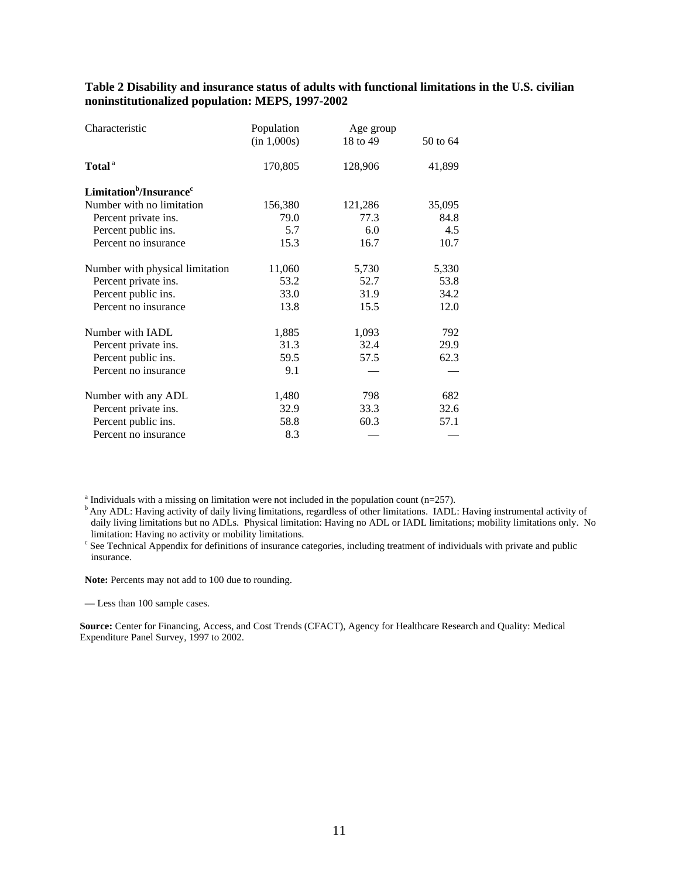**Table 2 Disability and insurance status of adults with functional limitations in the U.S. civilian noninstitutionalized population: MEPS, 1997-2002** 

| Characteristic                                  | Population  | Age group |          |
|-------------------------------------------------|-------------|-----------|----------|
|                                                 | (in 1,000s) | 18 to 49  | 50 to 64 |
| Total <sup>a</sup>                              | 170,805     | 128,906   | 41,899   |
| Limitation <sup>b</sup> /Insurance <sup>c</sup> |             |           |          |
| Number with no limitation                       | 156,380     | 121,286   | 35,095   |
| Percent private ins.                            | 79.0        | 77.3      | 84.8     |
| Percent public ins.                             | 5.7         | 6.0       | 4.5      |
| Percent no insurance                            | 15.3        | 16.7      | 10.7     |
| Number with physical limitation                 | 11,060      | 5,730     | 5,330    |
| Percent private ins.                            | 53.2        | 52.7      | 53.8     |
| Percent public ins.                             | 33.0        | 31.9      | 34.2     |
| Percent no insurance                            | 13.8        | 15.5      | 12.0     |
| Number with IADL                                | 1,885       | 1,093     | 792      |
| Percent private ins.                            | 31.3        | 32.4      | 29.9     |
| Percent public ins.                             | 59.5        | 57.5      | 62.3     |
| Percent no insurance                            | 9.1         |           |          |
| Number with any ADL                             | 1,480       | 798       | 682      |
| Percent private ins.                            | 32.9        | 33.3      | 32.6     |
| Percent public ins.                             | 58.8        | 60.3      | 57.1     |
| Percent no insurance                            | 8.3         |           |          |

a

 $<sup>b</sup>$  Any ADL: Having activity of daily living limitations, regardless of other limitations. IADL: Having instrumental activity of</sup> daily living limitations but no ADLs. Physical limitation: Having no ADL or IADL limitations; mobility limitations only. No limitation: Having no activity or mobility limitations.

<sup>c</sup> See Technical Appendix for definitions of insurance categories, including treatment of individuals with private and public insurance.

**Note:** Percents may not add to 100 due to rounding.

— Less than 100 sample cases.

 **Source:** Center for Financing, Access, and Cost Trends (CFACT), Agency for Healthcare Research and Quality: Medical Expenditure Panel Survey, 1997 to 2002.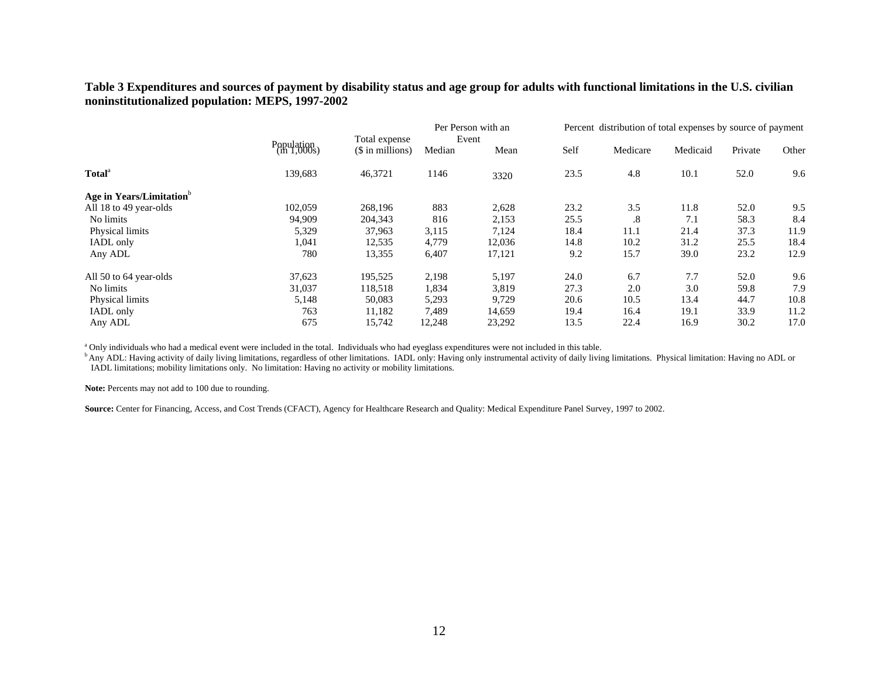## **Table 3 Expenditures and sources of payment by disability status and age group for adults with functional limitations in the U.S. civilian noninstitutionalized population: MEPS, 1997-2002**

|                                      |                           | Total expense    | Per Person with an<br>Event |        | Percent distribution of total expenses by source of payment |           |          |         |       |
|--------------------------------------|---------------------------|------------------|-----------------------------|--------|-------------------------------------------------------------|-----------|----------|---------|-------|
|                                      | Population<br>(in 1,000s) | (\$ in millions) | Median                      | Mean   | Self                                                        | Medicare  | Medicaid | Private | Other |
| <b>Total</b> <sup>a</sup>            | 139,683                   | 46,3721          | 1146                        | 3320   | 23.5                                                        | 4.8       | 10.1     | 52.0    | 9.6   |
| Age in Years/Limitation <sup>b</sup> |                           |                  |                             |        |                                                             |           |          |         |       |
| All 18 to 49 year-olds               | 102,059                   | 268,196          | 883                         | 2,628  | 23.2                                                        | 3.5       | 11.8     | 52.0    | 9.5   |
| No limits                            | 94,909                    | 204,343          | 816                         | 2,153  | 25.5                                                        | $\cdot^8$ | 7.1      | 58.3    | 8.4   |
| Physical limits                      | 5,329                     | 37,963           | 3,115                       | 7,124  | 18.4                                                        | 11.1      | 21.4     | 37.3    | 11.9  |
| IADL only                            | 1,041                     | 12,535           | 4,779                       | 12,036 | 14.8                                                        | 10.2      | 31.2     | 25.5    | 18.4  |
| Any ADL                              | 780                       | 13,355           | 6,407                       | 17,121 | 9.2                                                         | 15.7      | 39.0     | 23.2    | 12.9  |
| All 50 to 64 year-olds               | 37,623                    | 195,525          | 2,198                       | 5,197  | 24.0                                                        | 6.7       | 7.7      | 52.0    | 9.6   |
| No limits                            | 31,037                    | 118,518          | 1,834                       | 3,819  | 27.3                                                        | 2.0       | 3.0      | 59.8    | 7.9   |
| Physical limits                      | 5,148                     | 50,083           | 5,293                       | 9,729  | 20.6                                                        | 10.5      | 13.4     | 44.7    | 10.8  |
| IADL only                            | 763                       | 11,182           | 7,489                       | 14,659 | 19.4                                                        | 16.4      | 19.1     | 33.9    | 11.2  |
| Any ADL                              | 675                       | 15,742           | 12,248                      | 23,292 | 13.5                                                        | 22.4      | 16.9     | 30.2    | 17.0  |

<sup>a</sup> Only individuals who had a medical event were included in the total. Individuals who had eyeglass expenditures were not included in this table.

b Any ADL: Having activity of daily living limitations, regardless of other limitations. IADL only: Having only instrumental activity of daily living limitations. Physical limitation: Having no ADL or IADL limitations; mobility limitations only. No limitation: Having no activity or mobility limitations.

**Note:** Percents may not add to 100 due to rounding.

**Source:** Center for Financing, Access, and Cost Trends (CFACT), Agency for Healthcare Research and Quality: Medical Expenditure Panel Survey, 1997 to 2002.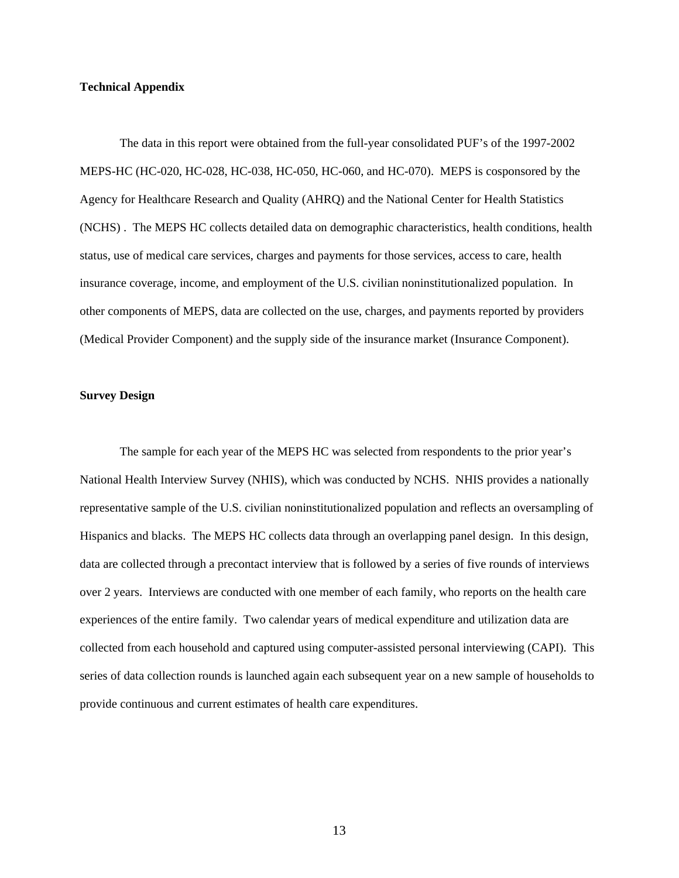#### **Technical Appendix**

The data in this report were obtained from the full-year consolidated PUF's of the 1997-2002 MEPS-HC (HC-020, HC-028, HC-038, HC-050, HC-060, and HC-070). MEPS is cosponsored by the Agency for Healthcare Research and Quality (AHRQ) and the National Center for Health Statistics (NCHS) . The MEPS HC collects detailed data on demographic characteristics, health conditions, health status, use of medical care services, charges and payments for those services, access to care, health insurance coverage, income, and employment of the U.S. civilian noninstitutionalized population. In other components of MEPS, data are collected on the use, charges, and payments reported by providers (Medical Provider Component) and the supply side of the insurance market (Insurance Component).

## **Survey Design**

The sample for each year of the MEPS HC was selected from respondents to the prior year's National Health Interview Survey (NHIS), which was conducted by NCHS. NHIS provides a nationally representative sample of the U.S. civilian noninstitutionalized population and reflects an oversampling of Hispanics and blacks. The MEPS HC collects data through an overlapping panel design. In this design, data are collected through a precontact interview that is followed by a series of five rounds of interviews over 2 years. Interviews are conducted with one member of each family, who reports on the health care experiences of the entire family. Two calendar years of medical expenditure and utilization data are collected from each household and captured using computer-assisted personal interviewing (CAPI). This series of data collection rounds is launched again each subsequent year on a new sample of households to provide continuous and current estimates of health care expenditures.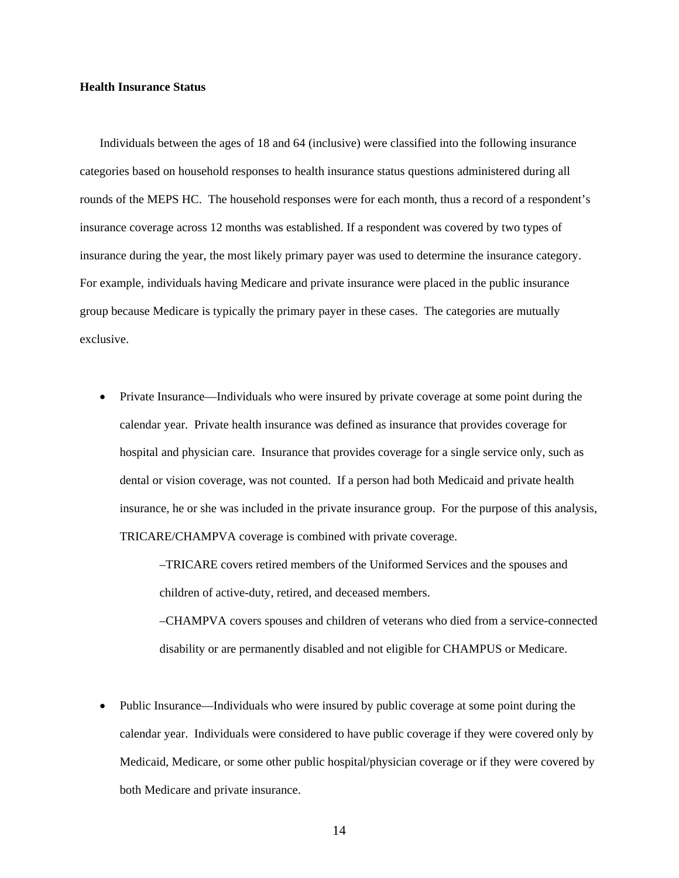#### **Health Insurance Status**

 insurance during the year, the most likely primary payer was used to determine the insurance category. For example, individuals having Medicare and private insurance were placed in the public insurance Individuals between the ages of 18 and 64 (inclusive) were classified into the following insurance categories based on household responses to health insurance status questions administered during all rounds of the MEPS HC. The household responses were for each month, thus a record of a respondent's insurance coverage across 12 months was established. If a respondent was covered by two types of group because Medicare is typically the primary payer in these cases. The categories are mutually exclusive.

• Private Insurance—Individuals who were insured by private coverage at some point during the calendar year. Private health insurance was defined as insurance that provides coverage for hospital and physician care. Insurance that provides coverage for a single service only, such as dental or vision coverage, was not counted. If a person had both Medicaid and private health insurance, he or she was included in the private insurance group. For the purpose of this analysis, TRICARE/CHAMPVA coverage is combined with private coverage.

> –TRICARE covers retired members of the Uniformed Services and the spouses and children of active-duty, retired, and deceased members.

–CHAMPVA covers spouses and children of veterans who died from a service-connected disability or are permanently disabled and not eligible for CHAMPUS or Medicare.

 calendar year. Individuals were considered to have public coverage if they were covered only by Public Insurance—Individuals who were insured by public coverage at some point during the Medicaid, Medicare, or some other public hospital/physician coverage or if they were covered by both Medicare and private insurance.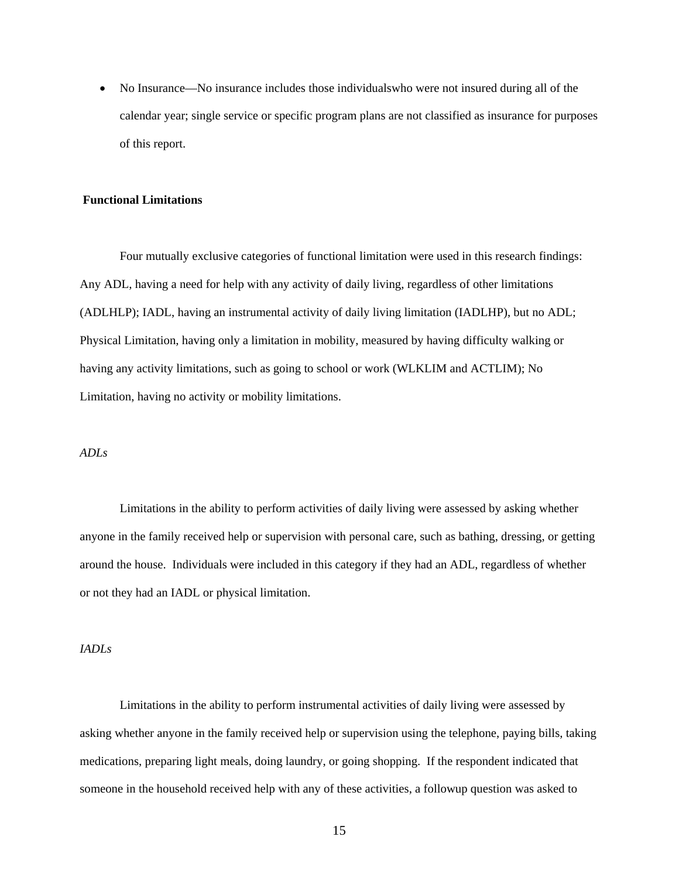• No Insurance—No insurance includes those individuals who were not insured during all of the calendar year; single service or specific program plans are not classified as insurance for purposes of this report.

#### **Functional Limitations**

Four mutually exclusive categories of functional limitation were used in this research findings: Any ADL, having a need for help with any activity of daily living, regardless of other limitations (ADLHLP); IADL, having an instrumental activity of daily living limitation (IADLHP), but no ADL; Physical Limitation, having only a limitation in mobility, measured by having difficulty walking or having any activity limitations, such as going to school or work (WLKLIM and ACTLIM); No Limitation, having no activity or mobility limitations.

#### *ADLs*

Limitations in the ability to perform activities of daily living were assessed by asking whether anyone in the family received help or supervision with personal care, such as bathing, dressing, or getting around the house. Individuals were included in this category if they had an ADL, regardless of whether or not they had an IADL or physical limitation.

#### *IADLs*

Limitations in the ability to perform instrumental activities of daily living were assessed by asking whether anyone in the family received help or supervision using the telephone, paying bills, taking medications, preparing light meals, doing laundry, or going shopping. If the respondent indicated that someone in the household received help with any of these activities, a followup question was asked to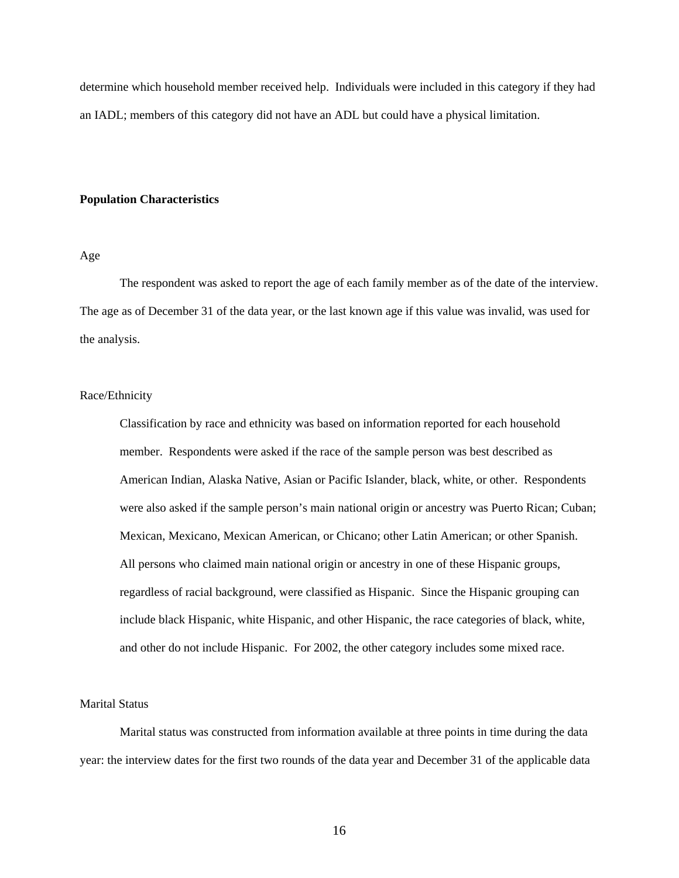determine which household member received help. Individuals were included in this category if they had an IADL; members of this category did not have an ADL but could have a physical limitation.

#### **Population Characteristics**

#### Age

The respondent was asked to report the age of each family member as of the date of the interview. The age as of December 31 of the data year, or the last known age if this value was invalid, was used for the analysis.

### Race/Ethnicity

Classification by race and ethnicity was based on information reported for each household member. Respondents were asked if the race of the sample person was best described as American Indian, Alaska Native, Asian or Pacific Islander, black, white, or other. Respondents were also asked if the sample person's main national origin or ancestry was Puerto Rican; Cuban; Mexican, Mexicano, Mexican American, or Chicano; other Latin American; or other Spanish. All persons who claimed main national origin or ancestry in one of these Hispanic groups, regardless of racial background, were classified as Hispanic. Since the Hispanic grouping can include black Hispanic, white Hispanic, and other Hispanic, the race categories of black, white, and other do not include Hispanic. For 2002, the other category includes some mixed race.

## Marital Status

Marital status was constructed from information available at three points in time during the data year: the interview dates for the first two rounds of the data year and December 31 of the applicable data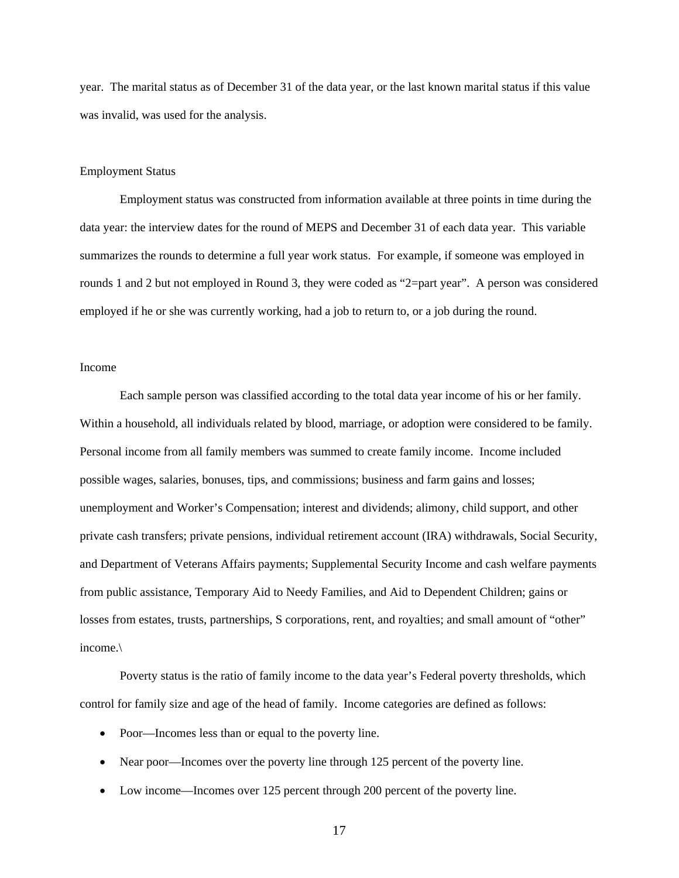year. The marital status as of December 31 of the data year, or the last known marital status if this value was invalid, was used for the analysis.

#### Employment Status

Employment status was constructed from information available at three points in time during the data year: the interview dates for the round of MEPS and December 31 of each data year. This variable summarizes the rounds to determine a full year work status. For example, if someone was employed in rounds 1 and 2 but not employed in Round 3, they were coded as "2=part year". A person was considered employed if he or she was currently working, had a job to return to, or a job during the round.

### Income

Each sample person was classified according to the total data year income of his or her family. Within a household, all individuals related by blood, marriage, or adoption were considered to be family. Personal income from all family members was summed to create family income. Income included possible wages, salaries, bonuses, tips, and commissions; business and farm gains and losses; unemployment and Worker's Compensation; interest and dividends; alimony, child support, and other private cash transfers; private pensions, individual retirement account (IRA) withdrawals, Social Security, and Department of Veterans Affairs payments; Supplemental Security Income and cash welfare payments from public assistance, Temporary Aid to Needy Families, and Aid to Dependent Children; gains or losses from estates, trusts, partnerships, S corporations, rent, and royalties; and small amount of "other" income.\

Poverty status is the ratio of family income to the data year's Federal poverty thresholds, which control for family size and age of the head of family. Income categories are defined as follows:

- Poor—Incomes less than or equal to the poverty line.
- Near poor—Incomes over the poverty line through 125 percent of the poverty line.
- Low income—Incomes over 125 percent through 200 percent of the poverty line.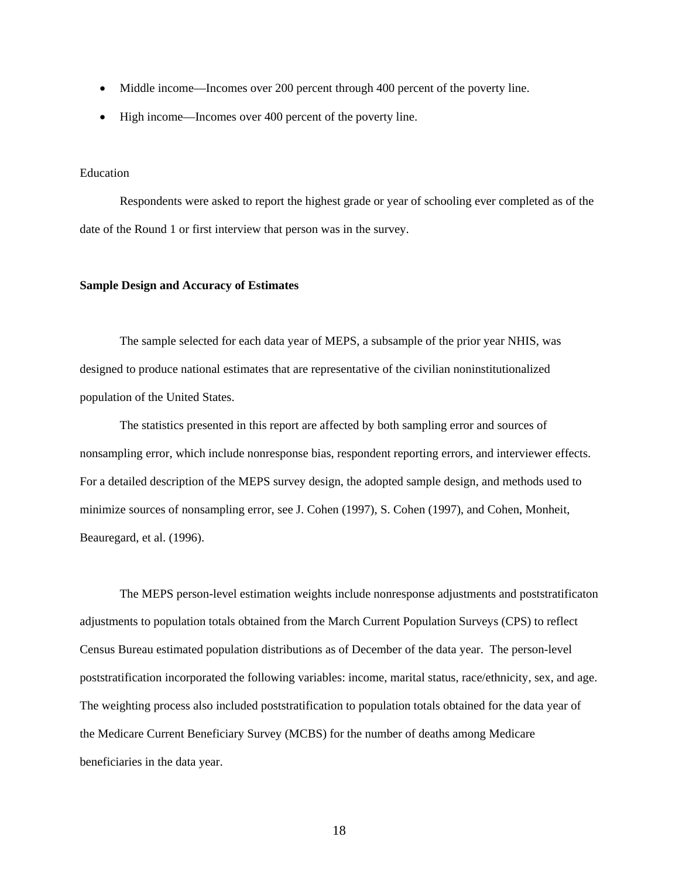- Middle income—Incomes over 200 percent through 400 percent of the poverty line.
- High income—Incomes over 400 percent of the poverty line.

#### Education

Respondents were asked to report the highest grade or year of schooling ever completed as of the date of the Round 1 or first interview that person was in the survey.

#### **Sample Design and Accuracy of Estimates**

The sample selected for each data year of MEPS, a subsample of the prior year NHIS, was designed to produce national estimates that are representative of the civilian noninstitutionalized population of the United States.

The statistics presented in this report are affected by both sampling error and sources of nonsampling error, which include nonresponse bias, respondent reporting errors, and interviewer effects. For a detailed description of the MEPS survey design, the adopted sample design, and methods used to minimize sources of nonsampling error, see J. Cohen (1997), S. Cohen (1997), and Cohen, Monheit, Beauregard, et al. (1996).

The MEPS person-level estimation weights include nonresponse adjustments and poststratificaton adjustments to population totals obtained from the March Current Population Surveys (CPS) to reflect Census Bureau estimated population distributions as of December of the data year. The person-level poststratification incorporated the following variables: income, marital status, race/ethnicity, sex, and age. The weighting process also included poststratification to population totals obtained for the data year of the Medicare Current Beneficiary Survey (MCBS) for the number of deaths among Medicare beneficiaries in the data year.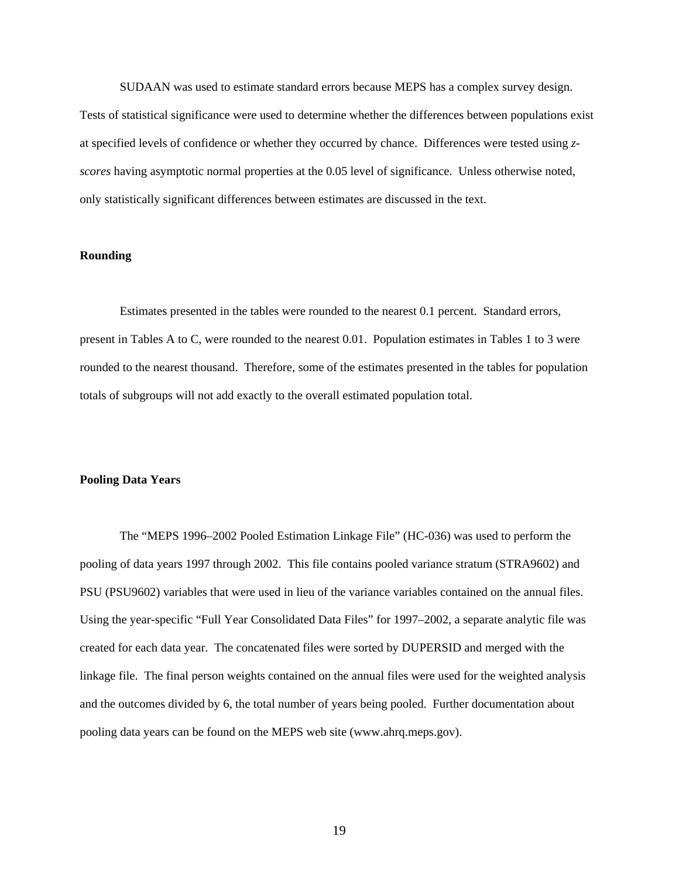SUDAAN was used to estimate standard errors because MEPS has a complex survey design. Tests of statistical significance were used to determine whether the differences between populations exist at specified levels of confidence or whether they occurred by chance. Differences were tested using *zscores* having asymptotic normal properties at the 0.05 level of significance. Unless otherwise noted, only statistically significant differences between estimates are discussed in the text.

## **Rounding**

Estimates presented in the tables were rounded to the nearest 0.1 percent. Standard errors, present in Tables A to C, were rounded to the nearest 0.01. Population estimates in Tables 1 to 3 were rounded to the nearest thousand. Therefore, some of the estimates presented in the tables for population totals of subgroups will not add exactly to the overall estimated population total.

#### **Pooling Data Years**

The "MEPS 1996–2002 Pooled Estimation Linkage File" (HC-036) was used to perform the pooling of data years 1997 through 2002. This file contains pooled variance stratum (STRA9602) and PSU (PSU9602) variables that were used in lieu of the variance variables contained on the annual files. Using the year-specific "Full Year Consolidated Data Files" for 1997–2002, a separate analytic file was created for each data year. The concatenated files were sorted by DUPERSID and merged with the linkage file. The final person weights contained on the annual files were used for the weighted analysis and the outcomes divided by 6, the total number of years being pooled. Further documentation about pooling data years can be found on the MEPS web site (www.ahrq.meps.gov).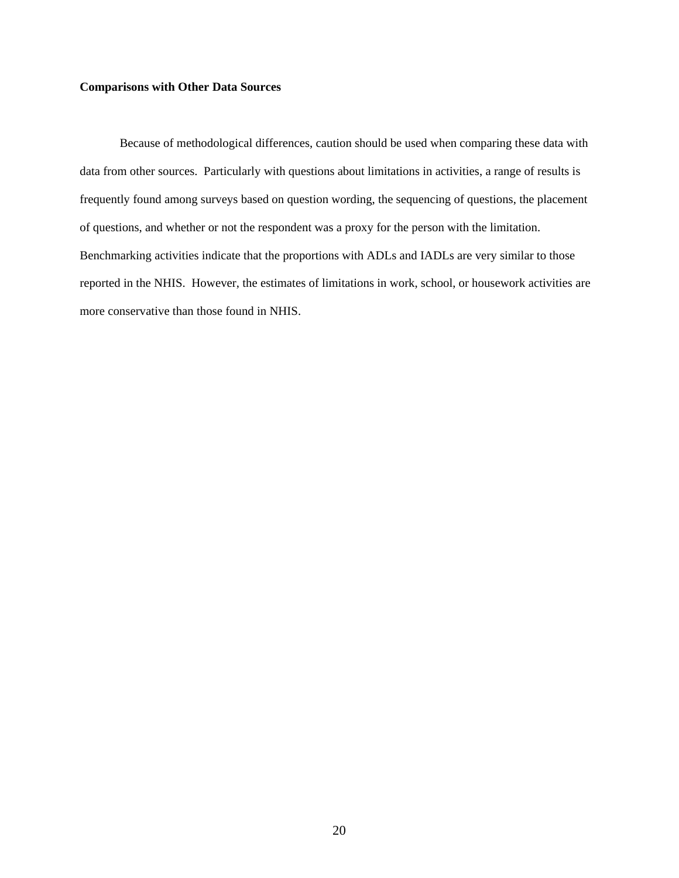#### **Comparisons with Other Data Sources**

Because of methodological differences, caution should be used when comparing these data with data from other sources. Particularly with questions about limitations in activities, a range of results is frequently found among surveys based on question wording, the sequencing of questions, the placement of questions, and whether or not the respondent was a proxy for the person with the limitation. Benchmarking activities indicate that the proportions with ADLs and IADLs are very similar to those reported in the NHIS. However, the estimates of limitations in work, school, or housework activities are more conservative than those found in NHIS.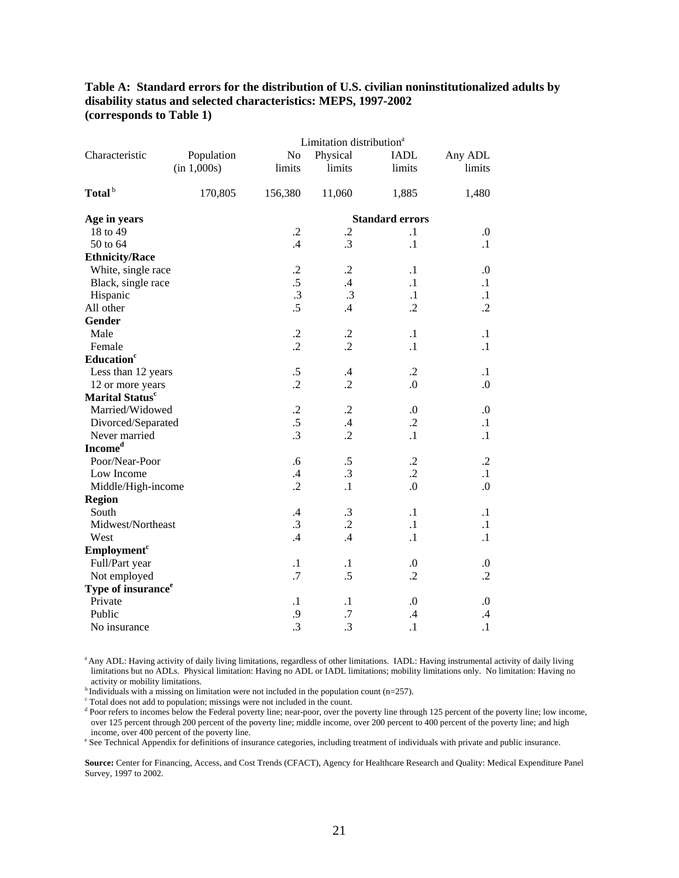**Table A: Standard errors for the distribution of U.S. civilian noninstitutionalized adults by disability status and selected characteristics: MEPS, 1997-2002 (corresponds to Table 1)** 

|                                |             |                 | Limitation distribution <sup>a</sup> |                        |                  |  |  |
|--------------------------------|-------------|-----------------|--------------------------------------|------------------------|------------------|--|--|
| Characteristic                 | Population  | No              | Physical                             | <b>IADL</b>            | Any ADL          |  |  |
|                                | (in 1,000s) | limits          | limits                               | limits                 | limits           |  |  |
| Total <sup>b</sup>             | 170,805     | 156,380         | 11,060                               | 1,885                  | 1,480            |  |  |
| Age in years                   |             |                 |                                      | <b>Standard errors</b> |                  |  |  |
| 18 to 49                       |             | $\cdot$         | $\cdot$                              | $\cdot$ 1              | 0.               |  |  |
| 50 to 64                       |             | $.4\phantom{0}$ | .3                                   | $\cdot$ 1              | $\cdot$ 1        |  |  |
| <b>Ethnicity/Race</b>          |             |                 |                                      |                        |                  |  |  |
| White, single race             |             | $\cdot$         | $\cdot$ .2                           | $\cdot$ 1              | 0.               |  |  |
| Black, single race             |             | .5              | $\mathcal{A}$                        | $\cdot$ 1              | $\cdot$ 1        |  |  |
| Hispanic                       |             | $\cdot$ 3       | .3                                   | $\cdot$ 1              | $\cdot$ 1        |  |  |
| All other                      |             | $\overline{.5}$ | .4                                   | $\cdot$ .2             | $\cdot$ .2       |  |  |
| Gender                         |             |                 |                                      |                        |                  |  |  |
| Male                           |             | $\cdot$ .2      | $\cdot$                              | $\cdot$                | $\cdot$          |  |  |
| Female                         |             | $\cdot$         | $\cdot$ .2                           | $\cdot$                | $\cdot$          |  |  |
| Education <sup>c</sup>         |             |                 |                                      |                        |                  |  |  |
| Less than 12 years             |             | $.5\,$          | $\cdot$                              | $\cdot$ .2             | $\cdot$          |  |  |
| 12 or more years               |             | $\cdot$         | $\cdot$                              | $\Omega$ .             | 0.               |  |  |
| Marital Status <sup>c</sup>    |             |                 |                                      |                        |                  |  |  |
| Married/Widowed                |             | $\cdot$         | $\cdot$                              | $\boldsymbol{0}$       | 0.               |  |  |
| Divorced/Separated             |             | .5              | .4                                   | $\cdot$                | $\cdot$ 1        |  |  |
| Never married                  |             | .3              | $\cdot$ .2                           | $\cdot$ 1              | $\cdot$ 1        |  |  |
| Income <sup>d</sup>            |             |                 |                                      |                        |                  |  |  |
| Poor/Near-Poor                 |             | .6              | .5                                   | $\cdot$                | $\cdot$ .2       |  |  |
| Low Income                     |             | .4              | .3                                   | $\cdot$                | $\cdot$ 1        |  |  |
| Middle/High-income             |             | $\cdot$         | $\cdot$ 1                            | $\cdot$                | 0.               |  |  |
| <b>Region</b>                  |             |                 |                                      |                        |                  |  |  |
| South                          |             | $\cdot$ 4       | .3                                   | $\cdot$                | $\cdot$          |  |  |
| Midwest/Northeast              |             | $\cdot$ 3       | $\cdot$                              | $\cdot$                | $\cdot$ 1        |  |  |
| West                           |             | $\mathcal{A}$   | $\mathcal{A}$                        | $\cdot$                | $\cdot$          |  |  |
| Employment <sup>c</sup>        |             |                 |                                      |                        |                  |  |  |
| Full/Part year                 |             | $\cdot$ 1       | $\cdot$                              | 0.                     | $\boldsymbol{0}$ |  |  |
| Not employed                   |             | .7              | .5                                   | $\cdot$                | $\cdot$ .2       |  |  |
| Type of insurance <sup>e</sup> |             |                 |                                      |                        |                  |  |  |
| Private                        |             | $\cdot$         | $\cdot$ 1                            | 0.                     | $\boldsymbol{0}$ |  |  |
| Public                         |             | .9              | $\cdot$ 7                            | $\mathcal{A}$          | .4               |  |  |
| No insurance                   |             | $\cdot$ 3       | $\cdot$ 3                            | $\cdot$                | $\cdot$          |  |  |

 limitations but no ADLs. Physical limitation: Having no ADL or IADL limitations; mobility limitations only. No limitation: Having no a Any ADL: Having activity of daily living limitations, regardless of other limitations. IADL: Having instrumental activity of daily living activity or mobility limitations.

b Individuals with a missing on limitation were not included in the population count (n=257).

 $\alpha$  Total does not add to population; missings were not included in the count.

Pour refers to incomes below the Federal poverty line; near-poor, over the poverty line through 125 percent of the poverty line; low income, over 125 percent through 200 percent of the poverty line; middle income, over 200 percent to 400 percent of the poverty line; and high income, over 400 percent of the poverty line.

<sup>e</sup> See Technical Appendix for definitions of insurance categories, including treatment of individuals with private and public insurance.

Survey, 1997 to 2002. **Source:** Center for Financing, Access, and Cost Trends (CFACT), Agency for Healthcare Research and Quality: Medical Expenditure Panel Survey, 1997 to 2002.  $21$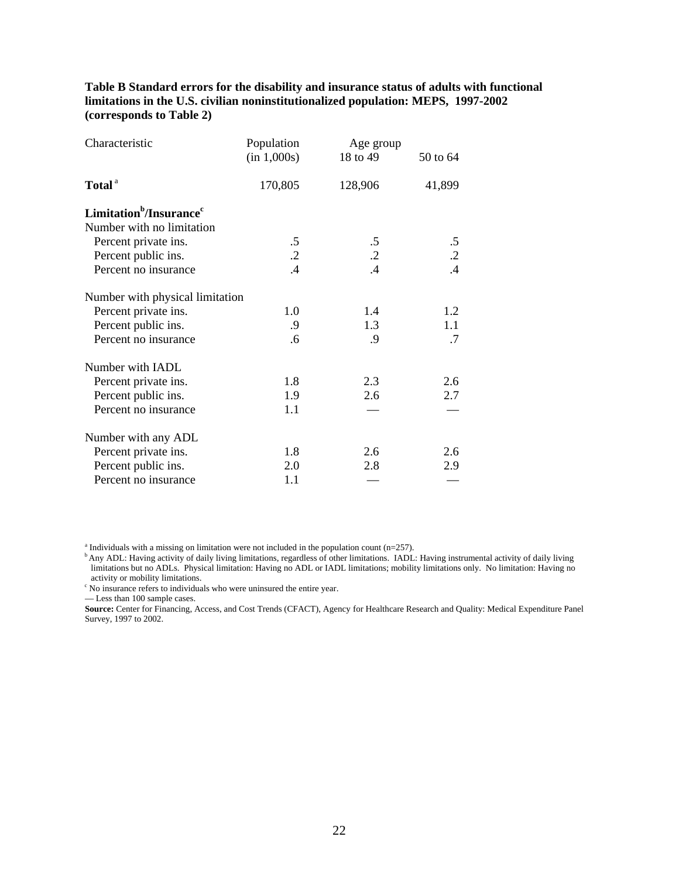**Table B Standard errors for the disability and insurance status of adults with functional limitations in the U.S. civilian noninstitutionalized population: MEPS, 1997-2002 (corresponds to Table 2)** 

| Characteristic                                  | Population<br>(in 1,000s) | Age group<br>18 to 49 | 50 to 64   |
|-------------------------------------------------|---------------------------|-----------------------|------------|
| Total <sup>a</sup>                              | 170,805                   | 128,906               | 41,899     |
| Limitation <sup>b</sup> /Insurance <sup>c</sup> |                           |                       |            |
| Number with no limitation                       |                           |                       |            |
| Percent private ins.                            | $.5\,$                    | $.5\,$                | $.5\,$     |
| Percent public ins.                             | $\cdot$ .2                | $\cdot$ .2            | $\cdot$ .2 |
| Percent no insurance                            | .4                        | $\mathcal{A}$         | $.4\,$     |
| Number with physical limitation                 |                           |                       |            |
| Percent private ins.                            | 1.0                       | 1.4                   | 1.2        |
| Percent public ins.                             | .9                        | 1.3                   | 1.1        |
| Percent no insurance                            | .6                        | $\cdot$ 9             | .7         |
| Number with IADL                                |                           |                       |            |
| Percent private ins.                            | 1.8                       | 2.3                   | 2.6        |
| Percent public ins.                             | 1.9                       | 2.6                   | 2.7        |
| Percent no insurance                            | 1.1                       |                       |            |
| Number with any ADL                             |                           |                       |            |
| Percent private ins.                            | 1.8                       | 2.6                   | 2.6        |
| Percent public ins.                             | 2.0                       | 2.8                   | 2.9        |
| Percent no insurance                            | 1.1                       |                       |            |

 $^{\text{a}}$  Individuals with a missing on limitation were not included in the population count (n=257).

 limitations but no ADLs. Physical limitation: Having no ADL or IADL limitations; mobility limitations only. No limitation: Having no <sup>b</sup> Any ADL: Having activity of daily living limitations, regardless of other limitations. IADL: Having instrumental activity of daily living activity or mobility limitations.

<sup>c</sup> No insurance refers to individuals who were uninsured the entire year.

— Less than 100 sample cases.

 Survey, 1997 to 2002. **Source:** Center for Financing, Access, and Cost Trends (CFACT), Agency for Healthcare Research and Quality: Medical Expenditure Panel